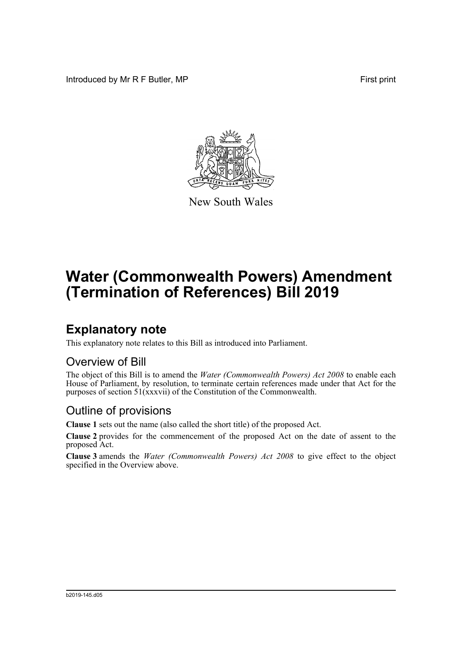Introduced by Mr R F Butler, MP First print



New South Wales

# **Water (Commonwealth Powers) Amendment (Termination of References) Bill 2019**

## **Explanatory note**

This explanatory note relates to this Bill as introduced into Parliament.

#### Overview of Bill

The object of this Bill is to amend the *Water (Commonwealth Powers) Act 2008* to enable each House of Parliament, by resolution, to terminate certain references made under that Act for the purposes of section 51(xxxvii) of the Constitution of the Commonwealth.

#### Outline of provisions

**Clause 1** sets out the name (also called the short title) of the proposed Act.

**Clause 2** provides for the commencement of the proposed Act on the date of assent to the proposed Act.

**Clause 3** amends the *Water (Commonwealth Powers) Act 2008* to give effect to the object specified in the Overview above.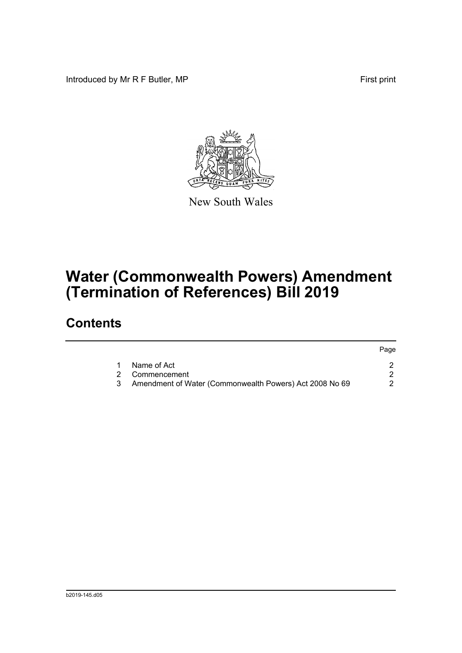Introduced by Mr R F Butler, MP First print



New South Wales

# **Water (Commonwealth Powers) Amendment (Termination of References) Bill 2019**

### **Contents**

|     |                                                         | Page |
|-----|---------------------------------------------------------|------|
|     | Name of Act                                             |      |
|     | 2 Commencement                                          |      |
| - 3 | Amendment of Water (Commonwealth Powers) Act 2008 No 69 |      |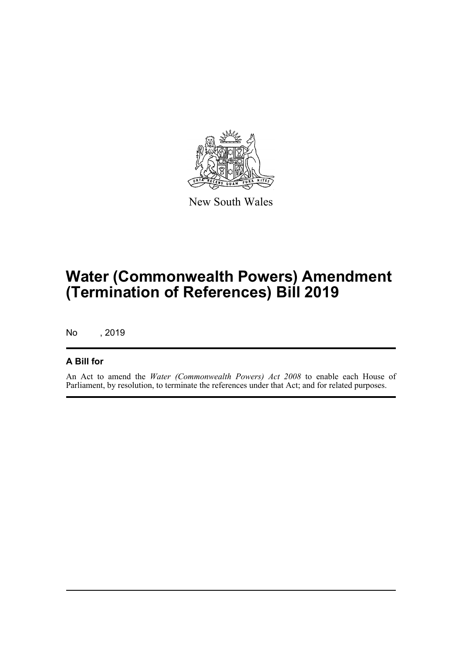

New South Wales

## **Water (Commonwealth Powers) Amendment (Termination of References) Bill 2019**

No , 2019

#### **A Bill for**

An Act to amend the *Water (Commonwealth Powers) Act 2008* to enable each House of Parliament, by resolution, to terminate the references under that Act; and for related purposes.